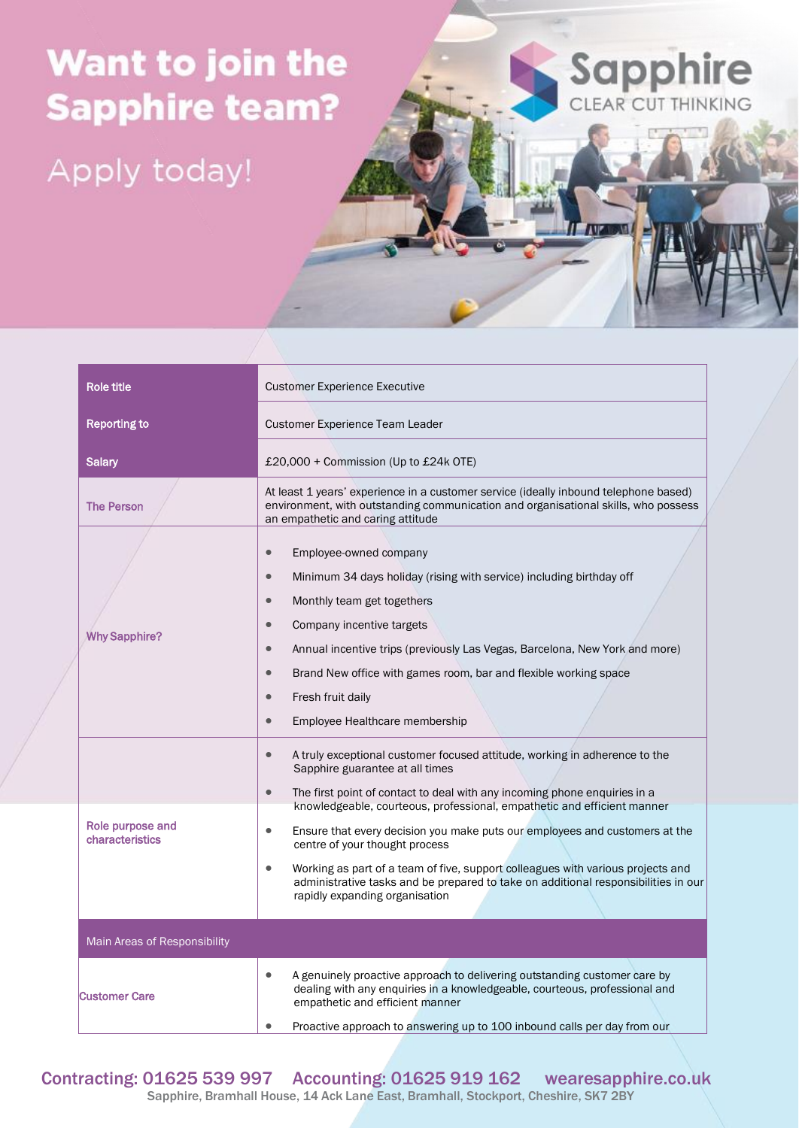## Want to join the **Sapphire team?**

Apply today!

| <b>Role title</b>                   | <b>Customer Experience Executive</b>                                                                                                                                                                                                                                                                                                                                                                                                                           |
|-------------------------------------|----------------------------------------------------------------------------------------------------------------------------------------------------------------------------------------------------------------------------------------------------------------------------------------------------------------------------------------------------------------------------------------------------------------------------------------------------------------|
| <b>Reporting to</b>                 | Customer Experience Team Leader                                                                                                                                                                                                                                                                                                                                                                                                                                |
| <b>Salary</b>                       | £20,000 + Commission (Up to £24k OTE)                                                                                                                                                                                                                                                                                                                                                                                                                          |
| <b>The Person</b>                   | At least 1 years' experience in a customer service (ideally inbound telephone based)<br>environment, with outstanding communication and organisational skills, who possess<br>an empathetic and caring attitude                                                                                                                                                                                                                                                |
| <b>Why Sapphire?</b>                | $\bullet$<br>Employee-owned company<br>Minimum 34 days holiday (rising with service) including birthday off<br>$\bullet$<br>Monthly team get togethers<br>$\bullet$<br>Company incentive targets<br>$\bullet$<br>Annual incentive trips (previously Las Vegas, Barcelona, New York and more)<br>$\bullet$<br>Brand New office with games room, bar and flexible working space<br>$\bullet$<br>Fresh fruit daily<br>Employee Healthcare membership<br>$\bullet$ |
| Role purpose and<br>characteristics | A truly exceptional customer focused attitude, working in adherence to the<br>$\bullet$<br>Sapphire guarantee at all times<br>The first point of contact to deal with any incoming phone enquiries in a<br>$\bullet$<br>knowledgeable, courteous, professional, empathetic and efficient manner<br>Ensure that every decision you make puts our employees and customers at the<br>$\bullet$<br>centre of your thought process                                  |
|                                     | Working as part of a team of five, support colleagues with various projects and<br>$\bullet$<br>administrative tasks and be prepared to take on additional responsibilities in our<br>rapidly expanding organisation                                                                                                                                                                                                                                           |
| Main Areas of Responsibility        |                                                                                                                                                                                                                                                                                                                                                                                                                                                                |
| <b>Customer Care</b>                | A genuinely proactive approach to delivering outstanding customer care by<br>$\bullet$<br>dealing with any enquiries in a knowledgeable, courteous, professional and<br>empathetic and efficient manner<br>Proactive approach to answering up to 100 inbound calls per day from our                                                                                                                                                                            |

Sapphire

IT **IVE ISYS** 

Contracting: 01625 539 997 Accounting: 01625 919 162 wearesapphire.co.uk Sapphire, Bramhall House, 14 Ack Lane East, Bramhall, Stockport, Cheshire, SK7 2BY